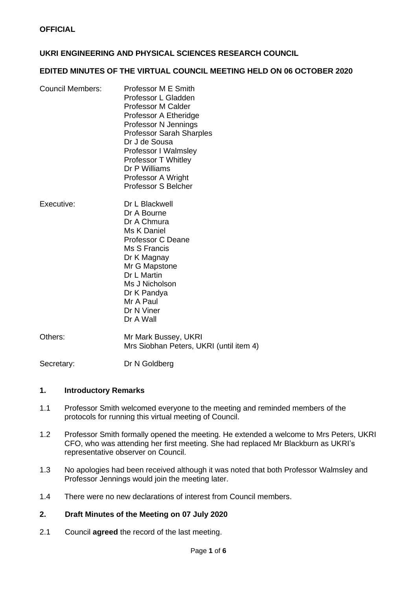# **UKRI ENGINEERING AND PHYSICAL SCIENCES RESEARCH COUNCIL**

#### **EDITED MINUTES OF THE VIRTUAL COUNCIL MEETING HELD ON 06 OCTOBER 2020**

| <b>Council Members:</b> | Professor M E Smith<br>Professor L Gladden<br>Professor M Calder<br>Professor A Etheridge<br>Professor N Jennings<br><b>Professor Sarah Sharples</b><br>Dr J de Sousa<br><b>Professor I Walmsley</b><br><b>Professor T Whitley</b><br>Dr P Williams<br>Professor A Wright<br><b>Professor S Belcher</b> |
|-------------------------|---------------------------------------------------------------------------------------------------------------------------------------------------------------------------------------------------------------------------------------------------------------------------------------------------------|
| Executive:              | Dr L Blackwell<br>Dr A Bourne<br>Dr A Chmura<br>Ms K Daniel<br><b>Professor C Deane</b><br>Ms S Francis<br>Dr K Magnay<br>Mr G Mapstone<br>Dr L Martin<br>Ms J Nicholson<br>Dr K Pandya<br>Mr A Paul                                                                                                    |

Mr A Paul Dr N Viner Dr A Wall

Others: Mr Mark Bussey, UKRI Mrs Siobhan Peters, UKRI (until item 4)

Secretary: Dr N Goldberg

#### **1. Introductory Remarks**

- 1.1 Professor Smith welcomed everyone to the meeting and reminded members of the protocols for running this virtual meeting of Council.
- 1.2 Professor Smith formally opened the meeting. He extended a welcome to Mrs Peters, UKRI CFO, who was attending her first meeting. She had replaced Mr Blackburn as UKRI's representative observer on Council.
- 1.3 No apologies had been received although it was noted that both Professor Walmsley and Professor Jennings would join the meeting later.
- 1.4 There were no new declarations of interest from Council members.

#### **2. Draft Minutes of the Meeting on 07 July 2020**

2.1 Council **agreed** the record of the last meeting.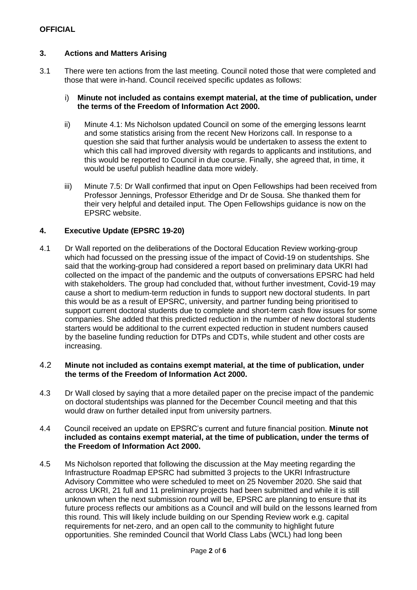# **3. Actions and Matters Arising**

3.1 There were ten actions from the last meeting. Council noted those that were completed and those that were in-hand. Council received specific updates as follows:

#### i) **Minute not included as contains exempt material, at the time of publication, under the terms of the Freedom of Information Act 2000.**

- ii) Minute 4.1: Ms Nicholson updated Council on some of the emerging lessons learnt and some statistics arising from the recent New Horizons call. In response to a question she said that further analysis would be undertaken to assess the extent to which this call had improved diversity with regards to applicants and institutions, and this would be reported to Council in due course. Finally, she agreed that, in time, it would be useful publish headline data more widely.
- iii) Minute 7.5: Dr Wall confirmed that input on Open Fellowships had been received from Professor Jennings, Professor Etheridge and Dr de Sousa. She thanked them for their very helpful and detailed input. The Open Fellowships guidance is now on the EPSRC website.

# **4. Executive Update (EPSRC 19-20)**

4.1 Dr Wall reported on the deliberations of the Doctoral Education Review working-group which had focussed on the pressing issue of the impact of Covid-19 on studentships. She said that the working-group had considered a report based on preliminary data UKRI had collected on the impact of the pandemic and the outputs of conversations EPSRC had held with stakeholders. The group had concluded that, without further investment, Covid-19 may cause a short to medium-term reduction in funds to support new doctoral students. In part this would be as a result of EPSRC, university, and partner funding being prioritised to support current doctoral students due to complete and short-term cash flow issues for some companies. She added that this predicted reduction in the number of new doctoral students starters would be additional to the current expected reduction in student numbers caused by the baseline funding reduction for DTPs and CDTs, while student and other costs are increasing.

#### 4.2 **Minute not included as contains exempt material, at the time of publication, under the terms of the Freedom of Information Act 2000.**

4.3 Dr Wall closed by saying that a more detailed paper on the precise impact of the pandemic on doctoral studentships was planned for the December Council meeting and that this would draw on further detailed input from university partners.

#### 4.4 Council received an update on EPSRC's current and future financial position. **Minute not included as contains exempt material, at the time of publication, under the terms of the Freedom of Information Act 2000.**

4.5 Ms Nicholson reported that following the discussion at the May meeting regarding the Infrastructure Roadmap EPSRC had submitted 3 projects to the UKRI Infrastructure Advisory Committee who were scheduled to meet on 25 November 2020. She said that across UKRI, 21 full and 11 preliminary projects had been submitted and while it is still unknown when the next submission round will be, EPSRC are planning to ensure that its future process reflects our ambitions as a Council and will build on the lessons learned from this round. This will likely include building on our Spending Review work e.g. capital requirements for net-zero, and an open call to the community to highlight future opportunities. She reminded Council that World Class Labs (WCL) had long been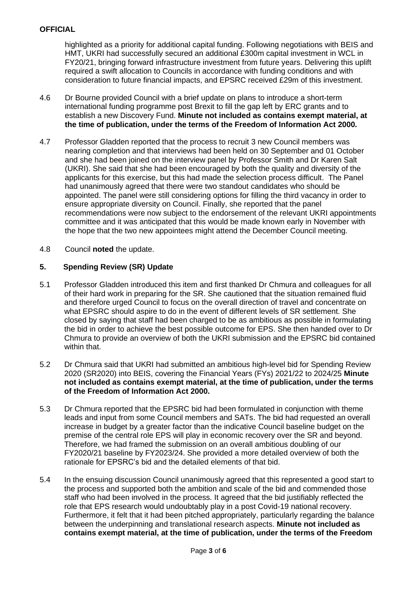highlighted as a priority for additional capital funding. Following negotiations with BEIS and HMT, UKRI had successfully secured an additional £300m capital investment in WCL in FY20/21, bringing forward infrastructure investment from future years. Delivering this uplift required a swift allocation to Councils in accordance with funding conditions and with consideration to future financial impacts, and EPSRC received £29m of this investment.

- 4.6 Dr Bourne provided Council with a brief update on plans to introduce a short-term international funding programme post Brexit to fill the gap left by ERC grants and to establish a new Discovery Fund. **Minute not included as contains exempt material, at the time of publication, under the terms of the Freedom of Information Act 2000.**
- 4.7 Professor Gladden reported that the process to recruit 3 new Council members was nearing completion and that interviews had been held on 30 September and 01 October and she had been joined on the interview panel by Professor Smith and Dr Karen Salt (UKRI). She said that she had been encouraged by both the quality and diversity of the applicants for this exercise, but this had made the selection process difficult. The Panel had unanimously agreed that there were two standout candidates who should be appointed. The panel were still considering options for filling the third vacancy in order to ensure appropriate diversity on Council. Finally, she reported that the panel recommendations were now subject to the endorsement of the relevant UKRI appointments committee and it was anticipated that this would be made known early in November with the hope that the two new appointees might attend the December Council meeting.
- 4.8 Council **noted** the update.

# **5. Spending Review (SR) Update**

- 5.1 Professor Gladden introduced this item and first thanked Dr Chmura and colleagues for all of their hard work in preparing for the SR. She cautioned that the situation remained fluid and therefore urged Council to focus on the overall direction of travel and concentrate on what EPSRC should aspire to do in the event of different levels of SR settlement. She closed by saying that staff had been charged to be as ambitious as possible in formulating the bid in order to achieve the best possible outcome for EPS. She then handed over to Dr Chmura to provide an overview of both the UKRI submission and the EPSRC bid contained within that.
- 5.2 Dr Chmura said that UKRI had submitted an ambitious high-level bid for Spending Review 2020 (SR2020) into BEIS, covering the Financial Years (FYs) 2021/22 to 2024/25 **Minute not included as contains exempt material, at the time of publication, under the terms of the Freedom of Information Act 2000.**
- 5.3 Dr Chmura reported that the EPSRC bid had been formulated in conjunction with theme leads and input from some Council members and SATs. The bid had requested an overall increase in budget by a greater factor than the indicative Council baseline budget on the premise of the central role EPS will play in economic recovery over the SR and beyond. Therefore, we had framed the submission on an overall ambitious doubling of our FY2020/21 baseline by FY2023/24. She provided a more detailed overview of both the rationale for EPSRC's bid and the detailed elements of that bid.
- 5.4 In the ensuing discussion Council unanimously agreed that this represented a good start to the process and supported both the ambition and scale of the bid and commended those staff who had been involved in the process. It agreed that the bid justifiably reflected the role that EPS research would undoubtably play in a post Covid-19 national recovery. Furthermore, it felt that it had been pitched appropriately, particularly regarding the balance between the underpinning and translational research aspects. **Minute not included as contains exempt material, at the time of publication, under the terms of the Freedom**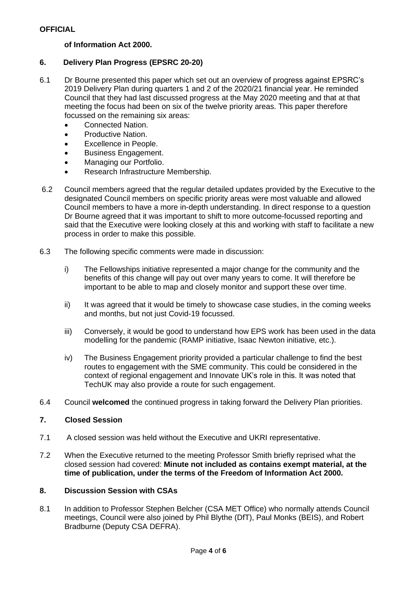# **of Information Act 2000.**

# **6. Delivery Plan Progress (EPSRC 20-20)**

- 6.1 Dr Bourne presented this paper which set out an overview of progress against EPSRC's 2019 Delivery Plan during quarters 1 and 2 of the 2020/21 financial year. He reminded Council that they had last discussed progress at the May 2020 meeting and that at that meeting the focus had been on six of the twelve priority areas. This paper therefore focussed on the remaining six areas:
	- Connected Nation.
	- Productive Nation.
	- Excellence in People.
	- Business Engagement.
	- Managing our Portfolio.
	- Research Infrastructure Membership.
- 6.2 Council members agreed that the regular detailed updates provided by the Executive to the designated Council members on specific priority areas were most valuable and allowed Council members to have a more in-depth understanding. In direct response to a question Dr Bourne agreed that it was important to shift to more outcome-focussed reporting and said that the Executive were looking closely at this and working with staff to facilitate a new process in order to make this possible.
- 6.3 The following specific comments were made in discussion:
	- i) The Fellowships initiative represented a major change for the community and the benefits of this change will pay out over many years to come. It will therefore be important to be able to map and closely monitor and support these over time.
	- ii) It was agreed that it would be timely to showcase case studies, in the coming weeks and months, but not just Covid-19 focussed.
	- iii) Conversely, it would be good to understand how EPS work has been used in the data modelling for the pandemic (RAMP initiative, Isaac Newton initiative, etc.).
	- iv) The Business Engagement priority provided a particular challenge to find the best routes to engagement with the SME community. This could be considered in the context of regional engagement and Innovate UK's role in this. It was noted that TechUK may also provide a route for such engagement.
- 6.4 Council **welcomed** the continued progress in taking forward the Delivery Plan priorities.

# **7. Closed Session**

- 7.1 A closed session was held without the Executive and UKRI representative.
- 7.2 When the Executive returned to the meeting Professor Smith briefly reprised what the closed session had covered: **Minute not included as contains exempt material, at the time of publication, under the terms of the Freedom of Information Act 2000.**

# **8. Discussion Session with CSAs**

8.1 In addition to Professor Stephen Belcher (CSA MET Office) who normally attends Council meetings, Council were also joined by Phil Blythe (DfT), Paul Monks (BEIS), and Robert Bradburne (Deputy CSA DEFRA).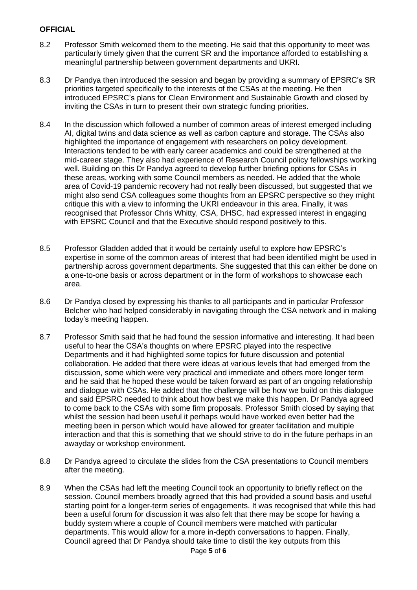- 8.2 Professor Smith welcomed them to the meeting. He said that this opportunity to meet was particularly timely given that the current SR and the importance afforded to establishing a meaningful partnership between government departments and UKRI.
- 8.3 Dr Pandya then introduced the session and began by providing a summary of EPSRC's SR priorities targeted specifically to the interests of the CSAs at the meeting. He then introduced EPSRC's plans for Clean Environment and Sustainable Growth and closed by inviting the CSAs in turn to present their own strategic funding priorities.
- 8.4 In the discussion which followed a number of common areas of interest emerged including AI, digital twins and data science as well as carbon capture and storage. The CSAs also highlighted the importance of engagement with researchers on policy development. Interactions tended to be with early career academics and could be strengthened at the mid-career stage. They also had experience of Research Council policy fellowships working well. Building on this Dr Pandya agreed to develop further briefing options for CSAs in these areas, working with some Council members as needed. He added that the whole area of Covid-19 pandemic recovery had not really been discussed, but suggested that we might also send CSA colleagues some thoughts from an EPSRC perspective so they might critique this with a view to informing the UKRI endeavour in this area. Finally, it was recognised that Professor Chris Whitty, CSA, DHSC, had expressed interest in engaging with EPSRC Council and that the Executive should respond positively to this.
- 8.5 Professor Gladden added that it would be certainly useful to explore how EPSRC's expertise in some of the common areas of interest that had been identified might be used in partnership across government departments. She suggested that this can either be done on a one-to-one basis or across department or in the form of workshops to showcase each area.
- 8.6 Dr Pandya closed by expressing his thanks to all participants and in particular Professor Belcher who had helped considerably in navigating through the CSA network and in making today's meeting happen.
- 8.7 Professor Smith said that he had found the session informative and interesting. It had been useful to hear the CSA's thoughts on where EPSRC played into the respective Departments and it had highlighted some topics for future discussion and potential collaboration. He added that there were ideas at various levels that had emerged from the discussion, some which were very practical and immediate and others more longer term and he said that he hoped these would be taken forward as part of an ongoing relationship and dialogue with CSAs. He added that the challenge will be how we build on this dialogue and said EPSRC needed to think about how best we make this happen. Dr Pandya agreed to come back to the CSAs with some firm proposals. Professor Smith closed by saying that whilst the session had been useful it perhaps would have worked even better had the meeting been in person which would have allowed for greater facilitation and multiple interaction and that this is something that we should strive to do in the future perhaps in an awayday or workshop environment.
- 8.8 Dr Pandya agreed to circulate the slides from the CSA presentations to Council members after the meeting.
- 8.9 When the CSAs had left the meeting Council took an opportunity to briefly reflect on the session. Council members broadly agreed that this had provided a sound basis and useful starting point for a longer-term series of engagements. It was recognised that while this had been a useful forum for discussion it was also felt that there may be scope for having a buddy system where a couple of Council members were matched with particular departments. This would allow for a more in-depth conversations to happen. Finally, Council agreed that Dr Pandya should take time to distil the key outputs from this